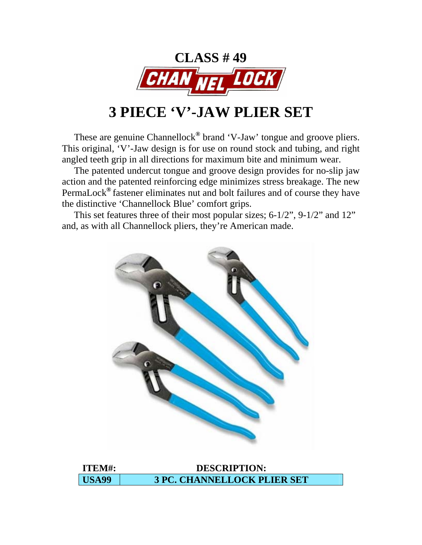

# **3 PIECE 'V'-JAW PLIER SET**

 These are genuine Channellock**®** brand 'V-Jaw' tongue and groove pliers. This original, 'V'-Jaw design is for use on round stock and tubing, and right angled teeth grip in all directions for maximum bite and minimum wear.

 The patented undercut tongue and groove design provides for no-slip jaw action and the patented reinforcing edge minimizes stress breakage. The new PermaLock**®** fastener eliminates nut and bolt failures and of course they have the distinctive 'Channellock Blue' comfort grips.

 This set features three of their most popular sizes; 6-1/2", 9-1/2" and 12" and, as with all Channellock pliers, they're American made.



| ITEM#:            | <b>DESCRIPTION:</b>                |
|-------------------|------------------------------------|
| USA <sub>99</sub> | <b>3 PC. CHANNELLOCK PLIER SET</b> |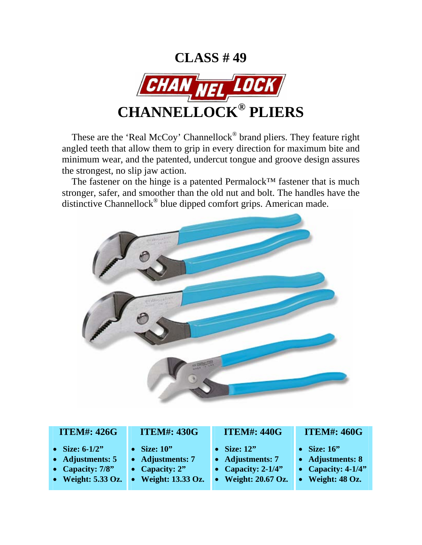

These are the 'Real McCoy' Channellock<sup>®</sup> brand pliers. They feature right angled teeth that allow them to grip in every direction for maximum bite and minimum wear, and the patented, undercut tongue and groove design assures the strongest, no slip jaw action.

The fastener on the hinge is a patented Permalock™ fastener that is much stronger, safer, and smoother than the old nut and bolt. The handles have the distinctive Channellock® blue dipped comfort grips. American made.



#### **ITEM#: 426G**

- **Size: 6-1/2"**
- **Adjustments: 5**
- **Capacity: 7/8"**
- **Weight: 5.33 Oz.**

# **ITEM#: 430G**

- **Size: 10"**
- **Adjustments: 7**
- **Capacity: 2"**
- **Weight: 13.33 Oz.**

### **ITEM#: 440G**

- **Size: 12"**
- **Adjustments: 7**
- **Capacity: 2-1/4"**
- **Weight: 20.67 Oz.**

#### **ITEM#: 460G**

- **Size: 16"**
- **Adjustments: 8**
- **Capacity: 4-1/4"**
- **Weight: 48 Oz.**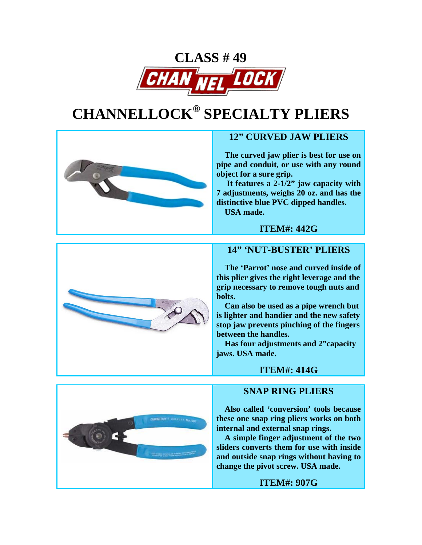

# **CHANNELLOCK® SPECIALTY PLIERS**



# **12" CURVED JAW PLIERS**

 **The curved jaw plier is best for use on pipe and conduit, or use with any round object for a sure grip.** 

 **It features a 2-1/2" jaw capacity with 7 adjustments, weighs 20 oz. and has the distinctive blue PVC dipped handles. USA made.** 



#### **14" 'NUT-BUSTER' PLIERS**

**ITEM#: 442G**

 **The 'Parrot' nose and curved inside of this plier gives the right leverage and the grip necessary to remove tough nuts and bolts.** 

 **Can also be used as a pipe wrench but is lighter and handier and the new safety stop jaw prevents pinching of the fingers between the handles.** 

 **Has four adjustments and 2"capacity jaws. USA made.** 

#### **ITEM#: 414G**

#### **SNAP RING PLIERS**

 **Also called 'conversion' tools because these one snap ring pliers works on both internal and external snap rings.** 

 **A simple finger adjustment of the two sliders converts them for use with inside and outside snap rings without having to change the pivot screw. USA made.** 



#### **ITEM#: 907G**